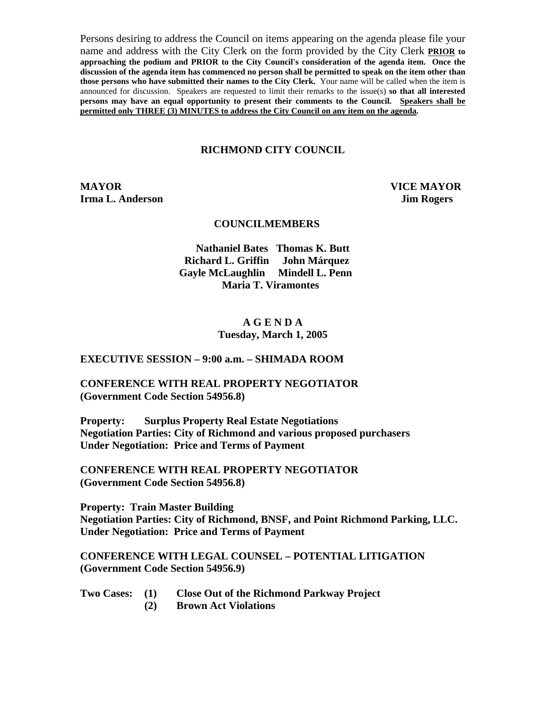Persons desiring to address the Council on items appearing on the agenda please file your name and address with the City Clerk on the form provided by the City Clerk **PRIOR to approaching the podium and PRIOR to the City Council's consideration of the agenda item. Once the discussion of the agenda item has commenced no person shall be permitted to speak on the item other than those persons who have submitted their names to the City Clerk.** Your name will be called when the item is announced for discussion. Speakers are requested to limit their remarks to the issue(s) **so that all interested persons may have an equal opportunity to present their comments to the Council. Speakers shall be permitted only THREE (3) MINUTES to address the City Council on any item on the agenda.**

## **RICHMOND CITY COUNCIL**

**MAYOR VICE MAYOR Irma L. Anderson Jim Rogers** 

#### **COUNCILMEMBERS**

**Nathaniel Bates Thomas K. Butt Richard L. Griffin John Márquez Gayle McLaughlin Mindell L. Penn Maria T. Viramontes** 

#### **A G E N D A Tuesday, March 1, 2005**

#### **EXECUTIVE SESSION – 9:00 a.m. – SHIMADA ROOM**

#### **CONFERENCE WITH REAL PROPERTY NEGOTIATOR (Government Code Section 54956.8)**

**Property: Surplus Property Real Estate Negotiations Negotiation Parties: City of Richmond and various proposed purchasers Under Negotiation: Price and Terms of Payment** 

**CONFERENCE WITH REAL PROPERTY NEGOTIATOR (Government Code Section 54956.8)** 

**Property: Train Master Building Negotiation Parties: City of Richmond, BNSF, and Point Richmond Parking, LLC. Under Negotiation: Price and Terms of Payment** 

**CONFERENCE WITH LEGAL COUNSEL – POTENTIAL LITIGATION (Government Code Section 54956.9)** 

| Two Cases: $(1)$ | <b>Close Out of the Richmond Parkway Project</b> |
|------------------|--------------------------------------------------|
|                  | <b>Brown Act Violations</b>                      |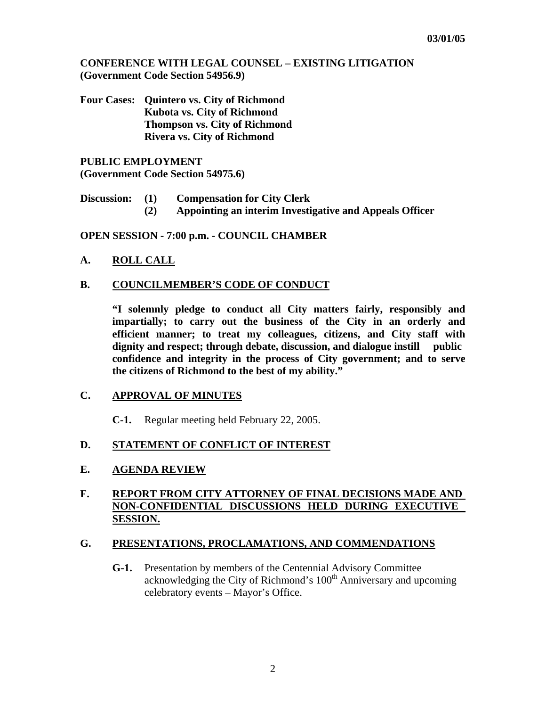**CONFERENCE WITH LEGAL COUNSEL – EXISTING LITIGATION (Government Code Section 54956.9)** 

**Four Cases: Quintero vs. City of Richmond Kubota vs. City of Richmond Thompson vs. City of Richmond Rivera vs. City of Richmond** 

**PUBLIC EMPLOYMENT (Government Code Section 54975.6)** 

- **Discussion: (1) Compensation for City Clerk** 
	- **(2) Appointing an interim Investigative and Appeals Officer**

**OPEN SESSION - 7:00 p.m. - COUNCIL CHAMBER** 

- **A. ROLL CALL**
- **B. COUNCILMEMBER'S CODE OF CONDUCT**

 **"I solemnly pledge to conduct all City matters fairly, responsibly and impartially; to carry out the business of the City in an orderly and efficient manner; to treat my colleagues, citizens, and City staff with dignity and respect; through debate, discussion, and dialogue instill public confidence and integrity in the process of City government; and to serve the citizens of Richmond to the best of my ability."** 

# **C. APPROVAL OF MINUTES**

**C-1.** Regular meeting held February 22, 2005.

# **D. STATEMENT OF CONFLICT OF INTEREST**

# **E. AGENDA REVIEW**

# **F. REPORT FROM CITY ATTORNEY OF FINAL DECISIONS MADE AND NON-CONFIDENTIAL DISCUSSIONS HELD DURING EXECUTIVE SESSION.**

# **G. PRESENTATIONS, PROCLAMATIONS, AND COMMENDATIONS**

 **G-1.** Presentation by members of the Centennial Advisory Committee acknowledging the City of Richmond's 100<sup>th</sup> Anniversary and upcoming celebratory events – Mayor's Office.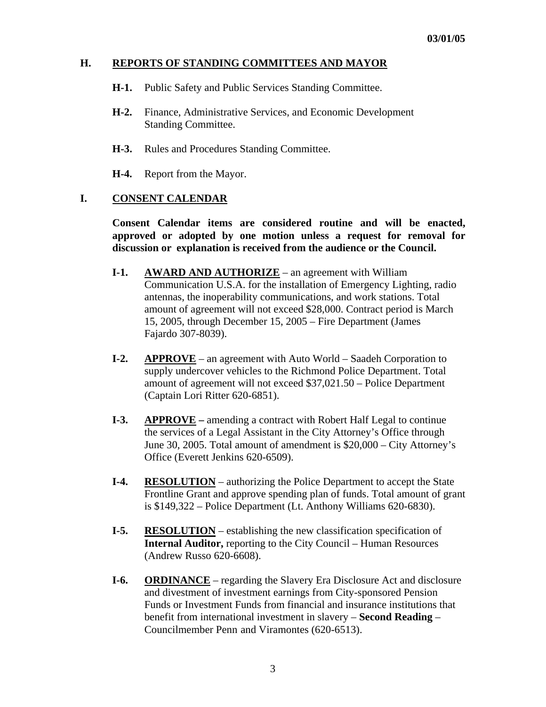# **H. REPORTS OF STANDING COMMITTEES AND MAYOR**

- **H-1.** Public Safety and Public Services Standing Committee.
- **H-2.** Finance, Administrative Services, and Economic Development Standing Committee.
- **H-3.** Rules and Procedures Standing Committee.

 **H-4.** Report from the Mayor.

#### **I. CONSENT CALENDAR**

 **Consent Calendar items are considered routine and will be enacted, approved or adopted by one motion unless a request for removal for discussion or explanation is received from the audience or the Council.** 

- **I-1.** AWARD AND AUTHORIZE an agreement with William Communication U.S.A. for the installation of Emergency Lighting, radio antennas, the inoperability communications, and work stations. Total amount of agreement will not exceed \$28,000. Contract period is March 15, 2005, through December 15, 2005 – Fire Department (James Fajardo 307-8039).
- **I-2. APPROVE** an agreement with Auto World Saadeh Corporation to supply undercover vehicles to the Richmond Police Department. Total amount of agreement will not exceed \$37,021.50 – Police Department (Captain Lori Ritter 620-6851).
- **I-3. APPROVE** amending a contract with Robert Half Legal to continue the services of a Legal Assistant in the City Attorney's Office through June 30, 2005. Total amount of amendment is \$20,000 – City Attorney's Office (Everett Jenkins 620-6509).
- **I-4. RESOLUTION** authorizing the Police Department to accept the State Frontline Grant and approve spending plan of funds. Total amount of grant is \$149,322 – Police Department (Lt. Anthony Williams 620-6830).
- **I-5. RESOLUTION** establishing the new classification specification of **Internal Auditor, reporting to the City Council – Human Resources** (Andrew Russo 620-6608).
- **I-6. ORDINANCE** regarding the Slavery Era Disclosure Act and disclosure and divestment of investment earnings from City-sponsored Pension Funds or Investment Funds from financial and insurance institutions that benefit from international investment in slavery – **Second Reading** – Councilmember Penn and Viramontes (620-6513).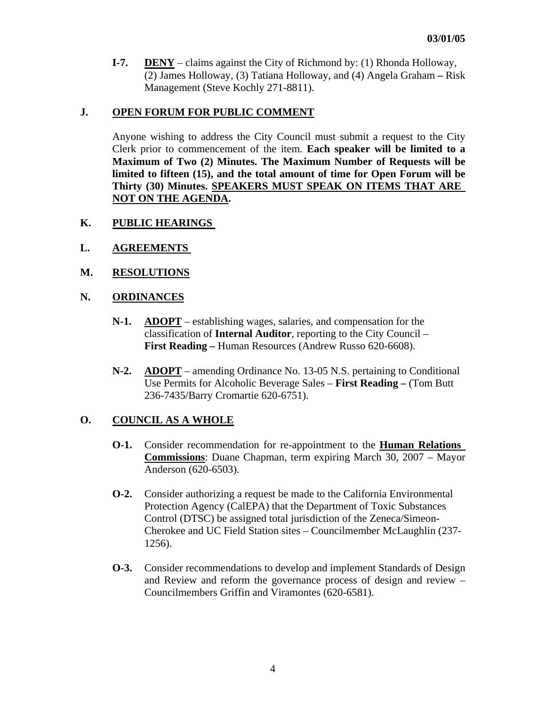**I-7. DENY** – claims against the City of Richmond by: (1) Rhonda Holloway, (2) James Holloway, (3) Tatiana Holloway, and (4) Angela Graham **–** Risk Management (Steve Kochly 271-8811).

# **J. OPEN FORUM FOR PUBLIC COMMENT**

Anyone wishing to address the City Council must submit a request to the City Clerk prior to commencement of the item. **Each speaker will be limited to a Maximum of Two (2) Minutes. The Maximum Number of Requests will be limited to fifteen (15), and the total amount of time for Open Forum will be Thirty (30) Minutes. SPEAKERS MUST SPEAK ON ITEMS THAT ARE NOT ON THE AGENDA.** 

# **K. PUBLIC HEARINGS**

- **L. AGREEMENTS**
- **M. RESOLUTIONS**

# **N. ORDINANCES**

- **N-1. ADOPT** establishing wages, salaries, and compensation for the classification of **Internal Auditor**, reporting to the City Council – **First Reading –** Human Resources (Andrew Russo 620-6608).
- **N-2. ADOPT** amending Ordinance No. 13-05 N.S. pertaining to Conditional Use Permits for Alcoholic Beverage Sales – **First Reading –** (Tom Butt 236-7435/Barry Cromartie 620-6751).

# **O. COUNCIL AS A WHOLE**

- **O-1.** Consider recommendation for re-appointment to the **Human Relations Commissions**: Duane Chapman, term expiring March 30, 2007 – Mayor Anderson (620-6503).
- **O-2.** Consider authorizing a request be made to the California Environmental Protection Agency (CalEPA) that the Department of Toxic Substances Control (DTSC) be assigned total jurisdiction of the Zeneca/Simeon- Cherokee and UC Field Station sites – Councilmember McLaughlin (237- 1256).
- **O-3.** Consider recommendations to develop and implement Standards of Design and Review and reform the governance process of design and review – Councilmembers Griffin and Viramontes (620-6581).